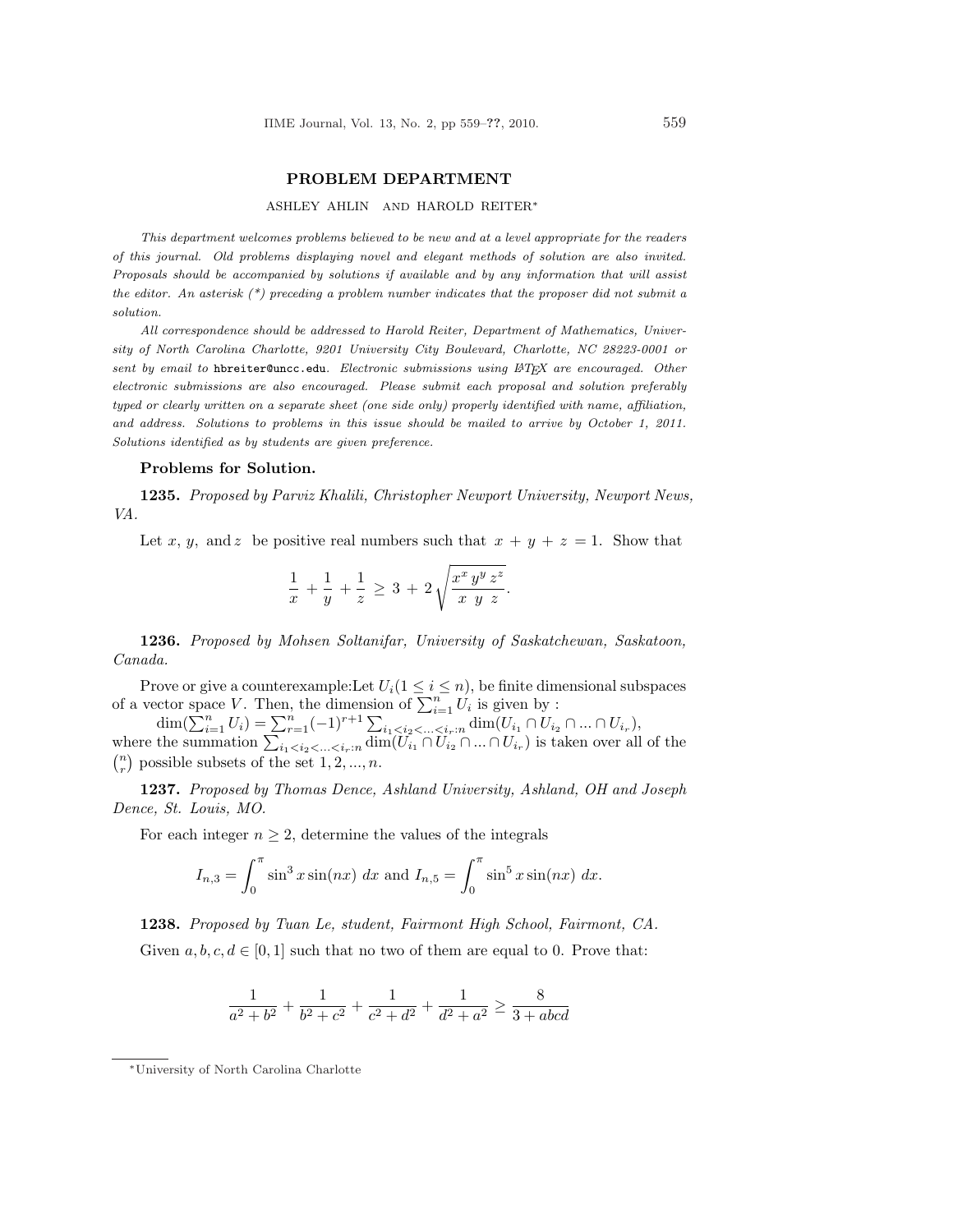## PROBLEM DEPARTMENT

## ASHLEY AHLIN AND HAROLD REITER<sup>∗</sup>

This department welcomes problems believed to be new and at a level appropriate for the readers of this journal. Old problems displaying novel and elegant methods of solution are also invited. Proposals should be accompanied by solutions if available and by any information that will assist the editor. An asterisk  $(*)$  preceding a problem number indicates that the proposer did not submit a solution.

All correspondence should be addressed to Harold Reiter, Department of Mathematics, University of North Carolina Charlotte, 9201 University City Boulevard, Charlotte, NC 28223-0001 or sent by email to hbreiter@uncc.edu. Electronic submissions using LATEX are encouraged. Other electronic submissions are also encouraged. Please submit each proposal and solution preferably typed or clearly written on a separate sheet (one side only) properly identified with name, affiliation, and address. Solutions to problems in this issue should be mailed to arrive by October 1, 2011. Solutions identified as by students are given preference.

## Problems for Solution.

1235. Proposed by Parviz Khalili, Christopher Newport University, Newport News, VA.

Let x, y, and z be positive real numbers such that  $x + y + z = 1$ . Show that

$$
\frac{1}{x} + \frac{1}{y} + \frac{1}{z} \ge 3 + 2\sqrt{\frac{x^x y^y z^z}{x y z}}.
$$

1236. Proposed by Mohsen Soltanifar, University of Saskatchewan, Saskatoon, Canada.

Prove or give a counterexample: Let  $U_i(1 \leq i \leq n)$ , be finite dimensional subspaces

Frove or give a counterexample: Let  $U_i$  ( $1 \le i \le n$ ), be finite dimensional subspaces<br>of a vector space V. Then, the dimension of  $\sum_{i=1}^n U_i$  is given by :<br> $\dim(\sum_{i=1}^n U_i) = \sum_{r=1}^n (-1)^{r+1} \sum_{i_1 < i_2 < ... < i_r : n} \dim(U_{i_1} \cap U_{$  $\binom{n}{r}$  possible subsets of the set  $1, 2, ..., n$ .

1237. Proposed by Thomas Dence, Ashland University, Ashland, OH and Joseph Dence, St. Louis, MO.

For each integer  $n \geq 2$ , determine the values of the integrals

$$
I_{n,3} = \int_0^{\pi} \sin^3 x \sin(nx) dx
$$
 and  $I_{n,5} = \int_0^{\pi} \sin^5 x \sin(nx) dx$ .

1238. Proposed by Tuan Le, student, Fairmont High School, Fairmont, CA.

Given  $a, b, c, d \in [0, 1]$  such that no two of them are equal to 0. Prove that:

$$
\frac{1}{a^2 + b^2} + \frac{1}{b^2 + c^2} + \frac{1}{c^2 + d^2} + \frac{1}{d^2 + a^2} \ge \frac{8}{3 + abcd}
$$

<sup>∗</sup>University of North Carolina Charlotte